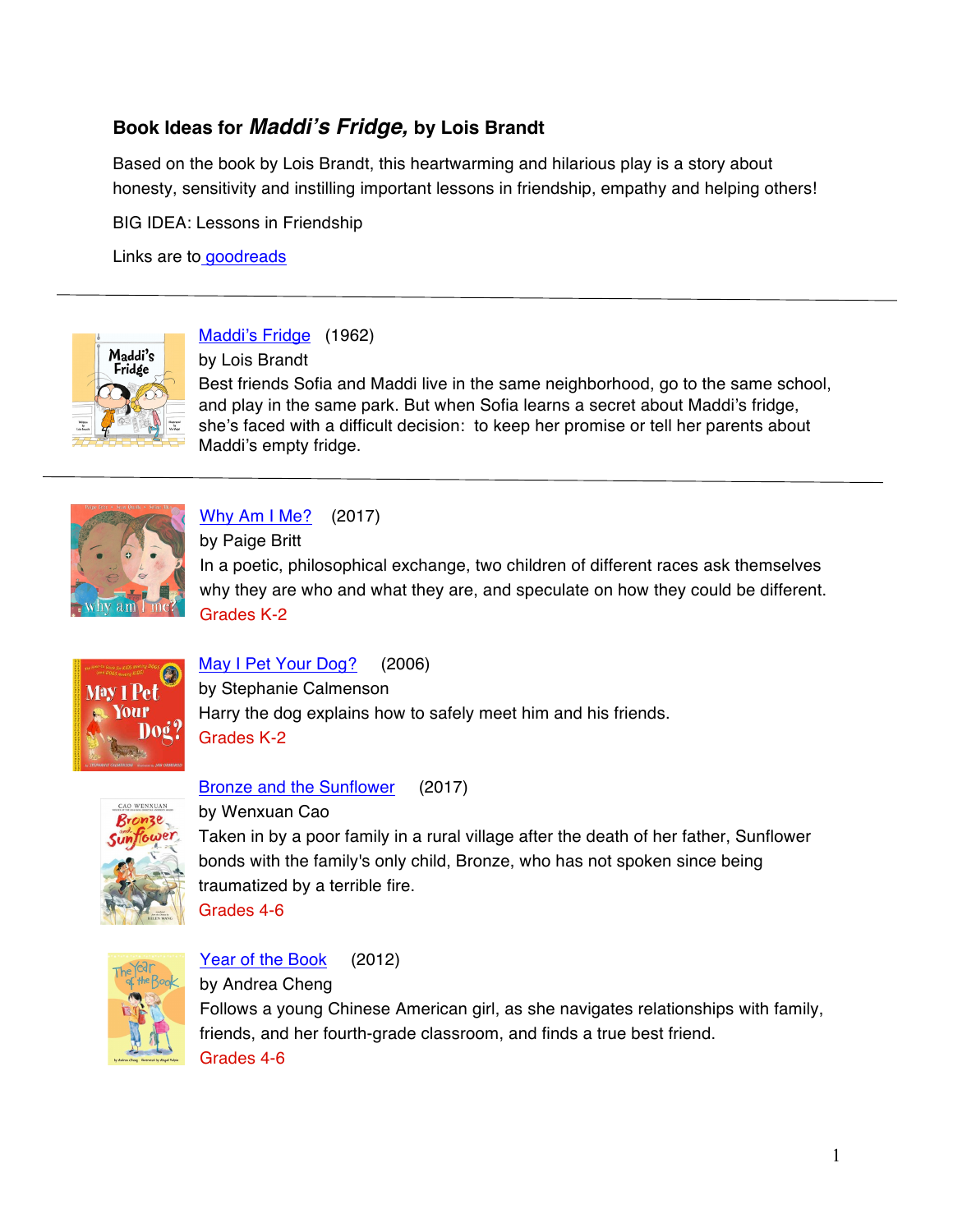# **Book Ideas for** *Maddi's Fridge,* **by Lois Brandt**

Based on the book by Lois Brandt, this heartwarming and hilarious play is a story about honesty, sensitivity and instilling important lessons in friendship, empathy and helping others!

BIG IDEA: Lessons in Friendship

Links are to goodreads



Maddi's Fridge (1962)

by Lois Brandt

Best friends Sofia and Maddi live in the same neighborhood, go to the same school, and play in the same park. But when Sofia learns a secret about Maddi's fridge, she's faced with a difficult decision: to keep her promise or tell her parents about Maddi's empty fridge.



Why Am I Me? (2017)

by Paige Britt

In a poetic, philosophical exchange, two children of different races ask themselves why they are who and what they are, and speculate on how they could be different. Grades K-2



#### May I Pet Your Dog? (2006)

by Stephanie Calmenson Harry the dog explains how to safely meet him and his friends. Grades K-2



Bronze and the Sunflower (2017)

by Wenxuan Cao

Taken in by a poor family in a rural village after the death of her father, Sunflower bonds with the family's only child, Bronze, who has not spoken since being traumatized by a terrible fire. Grades 4-6



Year of the Book (2012)

by Andrea Cheng Follows a young Chinese American girl, as she navigates relationships with family, friends, and her fourth-grade classroom, and finds a true best friend. Grades 4-6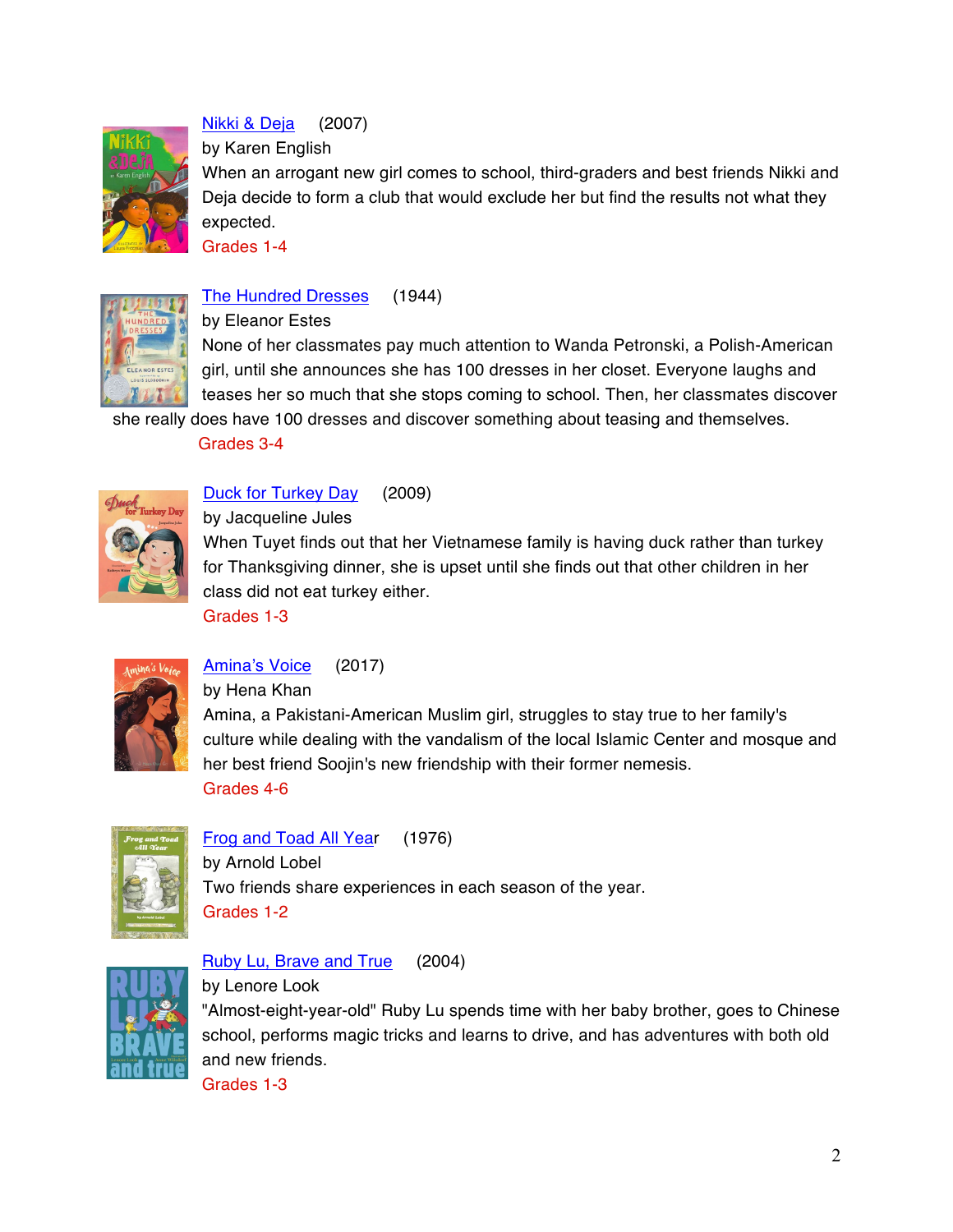

Nikki & Deja (2007)

by Karen English

When an arrogant new girl comes to school, third-graders and best friends Nikki and Deja decide to form a club that would exclude her but find the results not what they expected.

Grades 1-4



#### The Hundred Dresses (1944)

by Eleanor Estes

None of her classmates pay much attention to Wanda Petronski, a Polish-American girl, until she announces she has 100 dresses in her closet. Everyone laughs and teases her so much that she stops coming to school. Then, her classmates discover

she really does have 100 dresses and discover something about teasing and themselves.

Grades 3-4



Duck for Turkey Day (2009)

by Jacqueline Jules

When Tuyet finds out that her Vietnamese family is having duck rather than turkey for Thanksgiving dinner, she is upset until she finds out that other children in her class did not eat turkey either.

Grades 1-3



Amina's Voice (2017)

by Hena Khan

Amina, a Pakistani-American Muslim girl, struggles to stay true to her family's culture while dealing with the vandalism of the local Islamic Center and mosque and her best friend Soojin's new friendship with their former nemesis. Grades 4-6



Frog and Toad All Year (1976) by Arnold Lobel Two friends share experiences in each season of the year. Grades 1-2



#### Ruby Lu, Brave and True (2004)

by Lenore Look "Almost-eight-year-old" Ruby Lu spends time with her baby brother, goes to Chinese school, performs magic tricks and learns to drive, and has adventures with both old and new friends.

Grades 1-3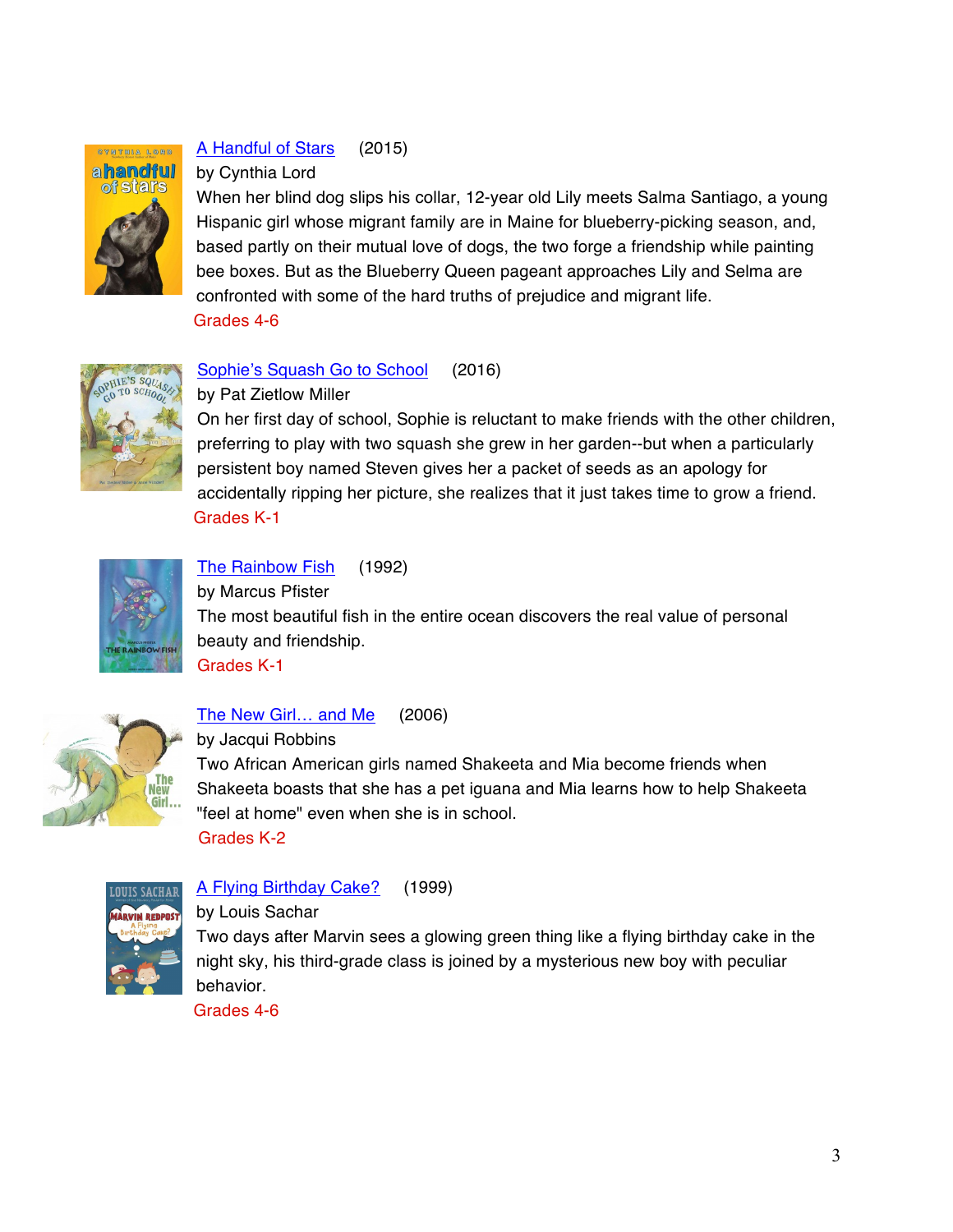

### A Handful of Stars (2015)

#### by Cynthia Lord

When her blind dog slips his collar, 12-year old Lily meets Salma Santiago, a young Hispanic girl whose migrant family are in Maine for blueberry-picking season, and, based partly on their mutual love of dogs, the two forge a friendship while painting bee boxes. But as the Blueberry Queen pageant approaches Lily and Selma are confronted with some of the hard truths of prejudice and migrant life. Grades 4-6



#### Sophie's Squash Go to School (2016)

by Pat Zietlow Miller

On her first day of school, Sophie is reluctant to make friends with the other children, preferring to play with two squash she grew in her garden--but when a particularly persistent boy named Steven gives her a packet of seeds as an apology for accidentally ripping her picture, she realizes that it just takes time to grow a friend. Grades K-1



### The Rainbow Fish (1992)

by Marcus Pfister The most beautiful fish in the entire ocean discovers the real value of personal beauty and friendship. Grades K-1



#### The New Girl… and Me (2006)

by Jacqui Robbins

Two African American girls named Shakeeta and Mia become friends when Shakeeta boasts that she has a pet iguana and Mia learns how to help Shakeeta "feel at home" even when she is in school. Grades K-2



A Flying Birthday Cake? (1999)

#### by Louis Sachar

Two days after Marvin sees a glowing green thing like a flying birthday cake in the night sky, his third-grade class is joined by a mysterious new boy with peculiar behavior.

Grades 4-6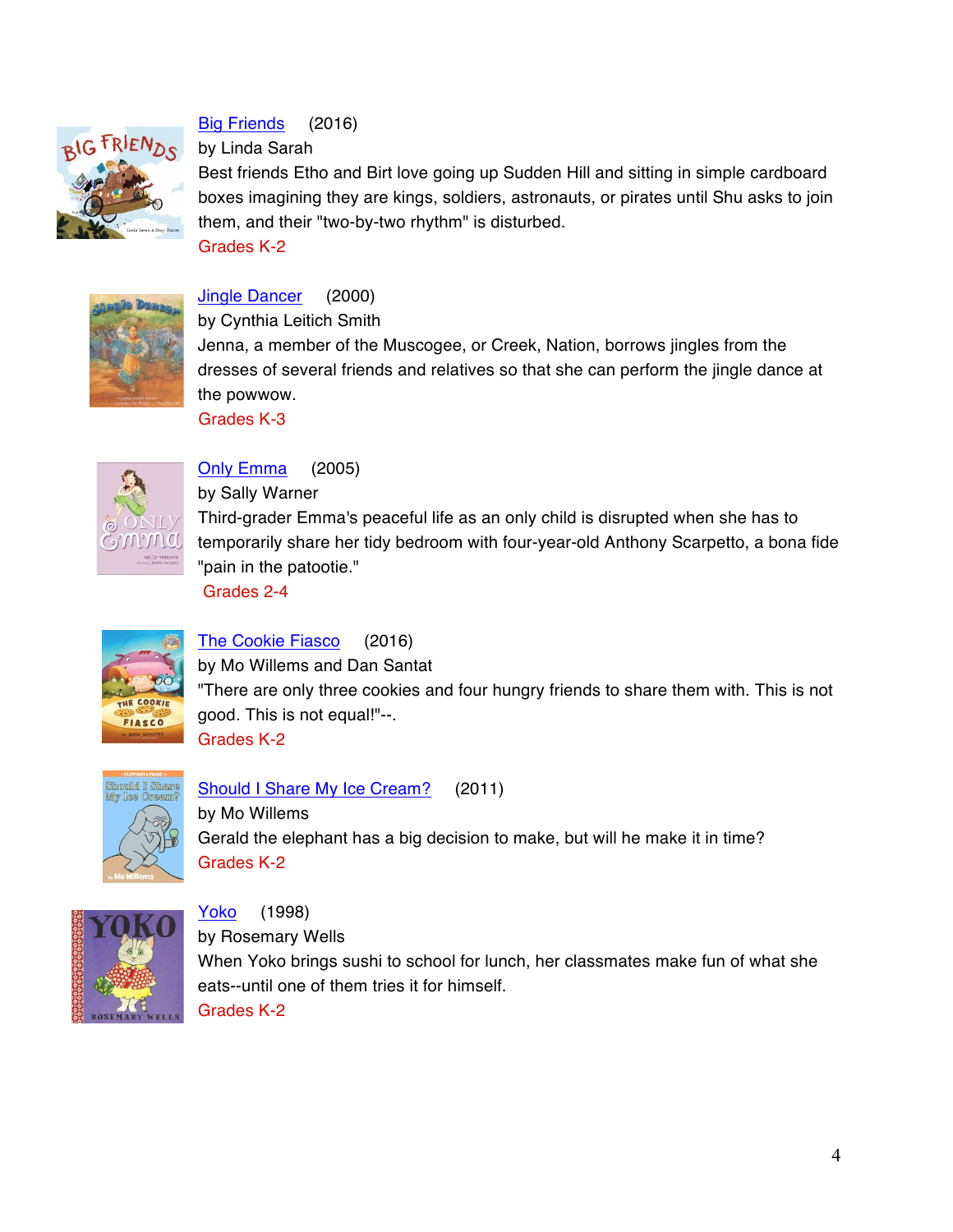

# Big Friends (2016)

by Linda Sarah

Best friends Etho and Birt love going up Sudden Hill and sitting in simple cardboard boxes imagining they are kings, soldiers, astronauts, or pirates until Shu asks to join them, and their "two-by-two rhythm" is disturbed. Grades K-2



## Jingle Dancer (2000)

by Cynthia Leitich Smith

Jenna, a member of the Muscogee, or Creek, Nation, borrows jingles from the dresses of several friends and relatives so that she can perform the jingle dance at the powwow.

Grades K-3



Only Emma (2005)

by Sally Warner

Third-grader Emma's peaceful life as an only child is disrupted when she has to temporarily share her tidy bedroom with four-year-old Anthony Scarpetto, a bona fide "pain in the patootie."

Grades 2-4



The Cookie Fiasco (2016)

by Mo Willems and Dan Santat "There are only three cookies and four hungry friends to share them with. This is not good. This is not equal!"--. Grades K-2



Should I Share My Ice Cream? (2011)

by Mo Willems Gerald the elephant has a big decision to make, but will he make it in time? Grades K-2



Yoko (1998) by Rosemary Wells When Yoko brings sushi to school for lunch, her classmates make fun of what she eats--until one of them tries it for himself. Grades K-2